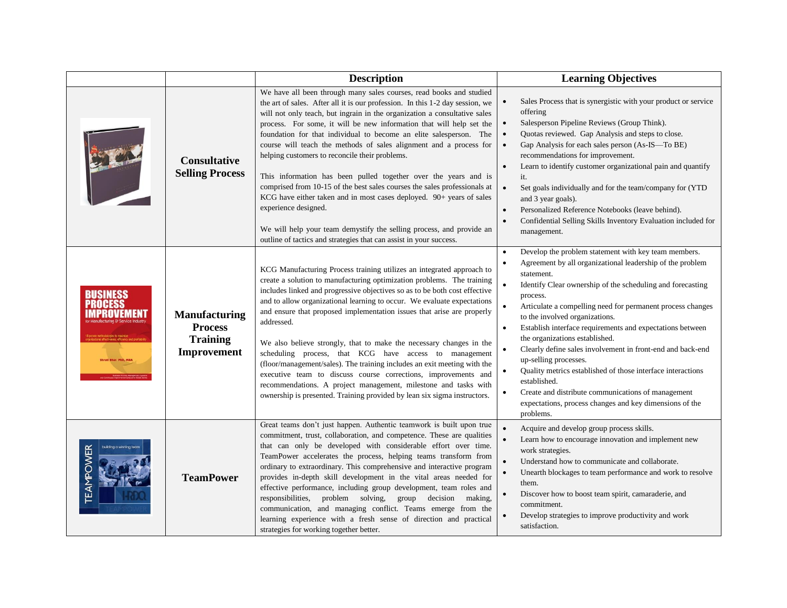|                  |                                                                          | <b>Description</b>                                                                                                                                                                                                                                                                                                                                                                                                                                                                                                                                                                                                                                                                                                                                                                                                                                                                                    | <b>Learning Objectives</b>                                                                                                                                                                                                                                                                                                                                                                                                                                                                                                                                                                                                                                                                                                                                                                              |
|------------------|--------------------------------------------------------------------------|-------------------------------------------------------------------------------------------------------------------------------------------------------------------------------------------------------------------------------------------------------------------------------------------------------------------------------------------------------------------------------------------------------------------------------------------------------------------------------------------------------------------------------------------------------------------------------------------------------------------------------------------------------------------------------------------------------------------------------------------------------------------------------------------------------------------------------------------------------------------------------------------------------|---------------------------------------------------------------------------------------------------------------------------------------------------------------------------------------------------------------------------------------------------------------------------------------------------------------------------------------------------------------------------------------------------------------------------------------------------------------------------------------------------------------------------------------------------------------------------------------------------------------------------------------------------------------------------------------------------------------------------------------------------------------------------------------------------------|
|                  | <b>Consultative</b><br><b>Selling Process</b>                            | We have all been through many sales courses, read books and studied<br>the art of sales. After all it is our profession. In this 1-2 day session, we<br>will not only teach, but ingrain in the organization a consultative sales<br>process. For some, it will be new information that will help set the<br>foundation for that individual to become an elite salesperson. The<br>course will teach the methods of sales alignment and a process for<br>helping customers to reconcile their problems.<br>This information has been pulled together over the years and is<br>comprised from 10-15 of the best sales courses the sales professionals at<br>KCG have either taken and in most cases deployed. 90+ years of sales<br>experience designed.<br>We will help your team demystify the selling process, and provide an<br>outline of tactics and strategies that can assist in your success. | Sales Process that is synergistic with your product or service<br>offering<br>Salesperson Pipeline Reviews (Group Think).<br>$\bullet$<br>Quotas reviewed. Gap Analysis and steps to close.<br>$\bullet$<br>Gap Analysis for each sales person (As-IS-To BE)<br>$\bullet$<br>recommendations for improvement.<br>Learn to identify customer organizational pain and quantify<br>$\bullet$<br>it.<br>$\bullet$<br>Set goals individually and for the team/company for (YTD)<br>and 3 year goals).<br>Personalized Reference Notebooks (leave behind).<br>$\bullet$<br>Confidential Selling Skills Inventory Evaluation included for<br>$\bullet$<br>management.                                                                                                                                          |
| ISINESS          | <b>Manufacturing</b><br><b>Process</b><br><b>Training</b><br>Improvement | KCG Manufacturing Process training utilizes an integrated approach to<br>create a solution to manufacturing optimization problems. The training<br>includes linked and progressive objectives so as to be both cost effective<br>and to allow organizational learning to occur. We evaluate expectations<br>and ensure that proposed implementation issues that arise are properly<br>addressed.<br>We also believe strongly, that to make the necessary changes in the<br>scheduling process, that KCG have access to management<br>(floor/management/sales). The training includes an exit meeting with the<br>executive team to discuss course corrections, improvements and<br>recommendations. A project management, milestone and tasks with<br>ownership is presented. Training provided by lean six sigma instructors.                                                                        | Develop the problem statement with key team members.<br>$\bullet$<br>Agreement by all organizational leadership of the problem<br>statement.<br>$\bullet$<br>Identify Clear ownership of the scheduling and forecasting<br>process.<br>$\bullet$<br>Articulate a compelling need for permanent process changes<br>to the involved organizations.<br>Establish interface requirements and expectations between<br>$\bullet$<br>the organizations established.<br>Clearly define sales involvement in front-end and back-end<br>$\bullet$<br>up-selling processes.<br>Quality metrics established of those interface interactions<br>$\bullet$<br>established.<br>Create and distribute communications of management<br>$\bullet$<br>expectations, process changes and key dimensions of the<br>problems. |
| <b>TEAMPOWER</b> | <b>TeamPower</b>                                                         | Great teams don't just happen. Authentic teamwork is built upon true<br>commitment, trust, collaboration, and competence. These are qualities<br>that can only be developed with considerable effort over time.<br>TeamPower accelerates the process, helping teams transform from<br>ordinary to extraordinary. This comprehensive and interactive program<br>provides in-depth skill development in the vital areas needed for<br>effective performance, including group development, team roles and<br>responsibilities, problem solving, group decision<br>making,<br>communication, and managing conflict. Teams emerge from the<br>learning experience with a fresh sense of direction and practical<br>strategies for working together better.                                                                                                                                                 | $\bullet$<br>Acquire and develop group process skills.<br>$\bullet$<br>Learn how to encourage innovation and implement new<br>work strategies.<br>$\bullet$<br>Understand how to communicate and collaborate.<br>$\bullet$<br>Unearth blockages to team performance and work to resolve<br>them.<br>Discover how to boost team spirit, camaraderie, and<br>commitment.<br>Develop strategies to improve productivity and work<br>satisfaction.                                                                                                                                                                                                                                                                                                                                                          |